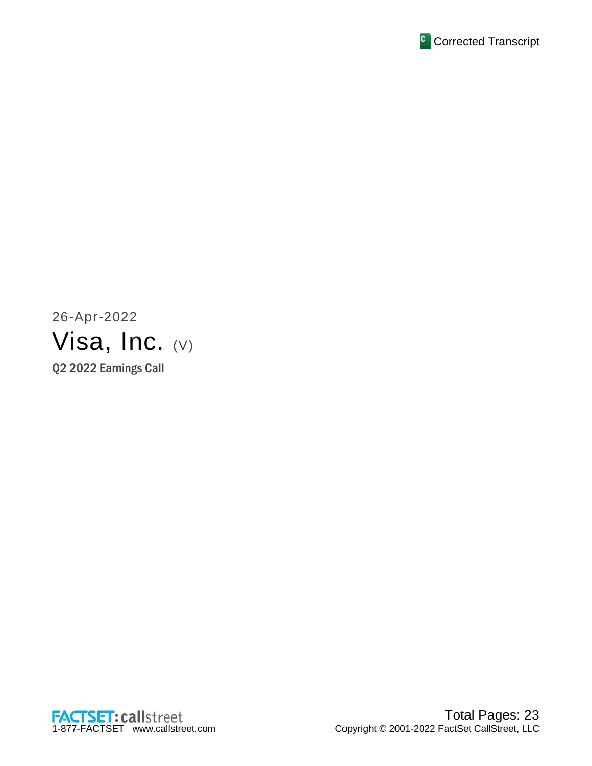

26-Apr-2022 Visa, Inc. (V) Q2 2022 Earnings Call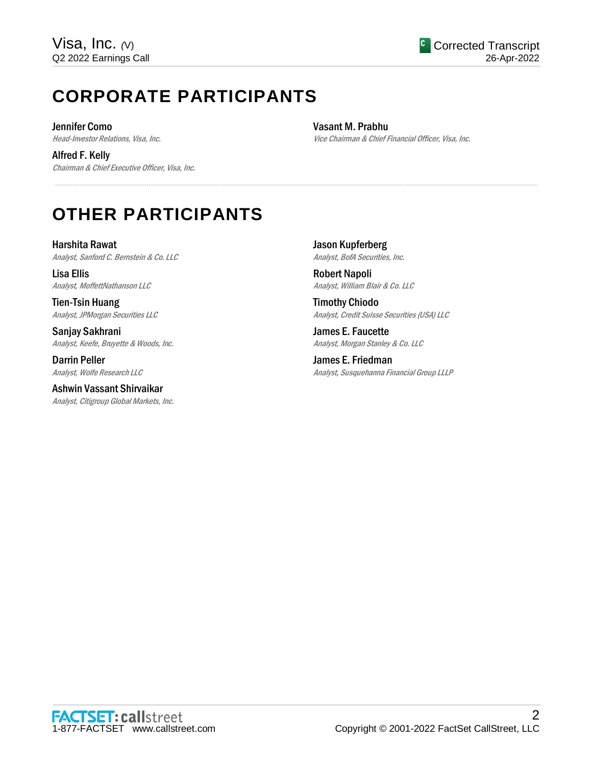# **CORPORATE PARTICIPANTS**

Jennifer Como Head-Investor Relations, Visa, Inc.

Alfred F. Kelly Chairman & Chief Executive Officer, Visa, Inc. Vasant M. Prabhu Vice Chairman & Chief Financial Officer, Visa, Inc.

# **OTHER PARTICIPANTS**

Harshita Rawat Analyst, Sanford C. Bernstein & Co. LLC

Lisa Ellis Analyst, MoffettNathanson LLC

Tien-Tsin Huang Analyst, JPMorgan Securities LLC

Sanjay Sakhrani Analyst, Keefe, Bruyette & Woods, Inc.

Darrin Peller Analyst, Wolfe Research LLC

Ashwin Vassant Shirvaikar Analyst, Citigroup Global Markets, Inc. Jason Kupferberg Analyst, BofA Securities, Inc.

.....................................................................................................................................................................................................................................................................

Robert Napoli Analyst, William Blair & Co. LLC

Timothy Chiodo Analyst, Credit Suisse Securities (USA) LLC

James E. Faucette Analyst, Morgan Stanley & Co. LLC

James E. Friedman Analyst, Susquehanna Financial Group LLLP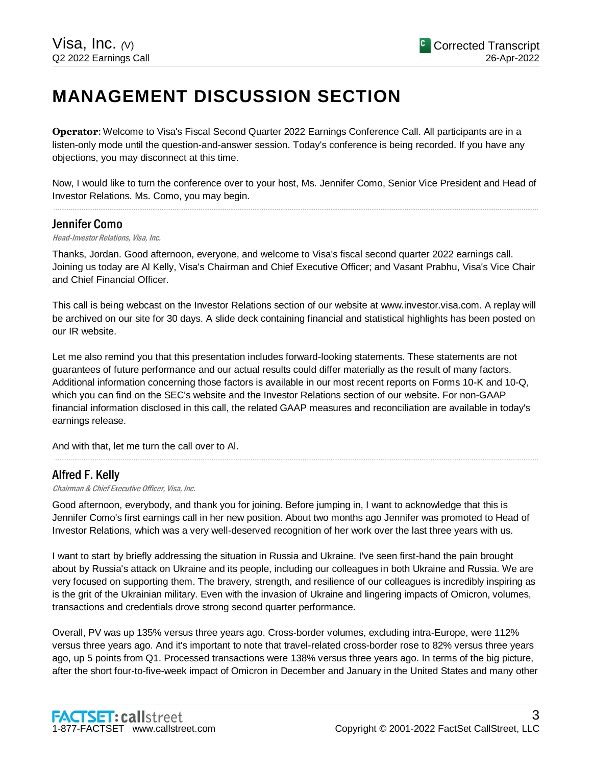# **MANAGEMENT DISCUSSION SECTION**

**Operator**: Welcome to Visa's Fiscal Second Quarter 2022 Earnings Conference Call. All participants are in a listen-only mode until the question-and-answer session. Today's conference is being recorded. If you have any objections, you may disconnect at this time.

Now, I would like to turn the conference over to your host, Ms. Jennifer Como, Senior Vice President and Head of Investor Relations. Ms. Como, you may begin. .....................................................................................................................................................................................................................................................................

# Jennifer Como

#### Head-Investor Relations, Visa, Inc.

Thanks, Jordan. Good afternoon, everyone, and welcome to Visa's fiscal second quarter 2022 earnings call. Joining us today are Al Kelly, Visa's Chairman and Chief Executive Officer; and Vasant Prabhu, Visa's Vice Chair and Chief Financial Officer.

This call is being webcast on the Investor Relations section of our website at www.investor.visa.com. A replay will be archived on our site for 30 days. A slide deck containing financial and statistical highlights has been posted on our IR website.

Let me also remind you that this presentation includes forward-looking statements. These statements are not guarantees of future performance and our actual results could differ materially as the result of many factors. Additional information concerning those factors is available in our most recent reports on Forms 10-K and 10-Q, which you can find on the SEC's website and the Investor Relations section of our website. For non-GAAP financial information disclosed in this call, the related GAAP measures and reconciliation are available in today's earnings release.

And with that, let me turn the call over to Al.

# Alfred F. Kelly

Chairman & Chief Executive Officer, Visa, Inc.

Good afternoon, everybody, and thank you for joining. Before jumping in, I want to acknowledge that this is Jennifer Como's first earnings call in her new position. About two months ago Jennifer was promoted to Head of Investor Relations, which was a very well-deserved recognition of her work over the last three years with us.

.....................................................................................................................................................................................................................................................................

I want to start by briefly addressing the situation in Russia and Ukraine. I've seen first-hand the pain brought about by Russia's attack on Ukraine and its people, including our colleagues in both Ukraine and Russia. We are very focused on supporting them. The bravery, strength, and resilience of our colleagues is incredibly inspiring as is the grit of the Ukrainian military. Even with the invasion of Ukraine and lingering impacts of Omicron, volumes, transactions and credentials drove strong second quarter performance.

Overall, PV was up 135% versus three years ago. Cross-border volumes, excluding intra-Europe, were 112% versus three years ago. And it's important to note that travel-related cross-border rose to 82% versus three years ago, up 5 points from Q1. Processed transactions were 138% versus three years ago. In terms of the big picture, after the short four-to-five-week impact of Omicron in December and January in the United States and many other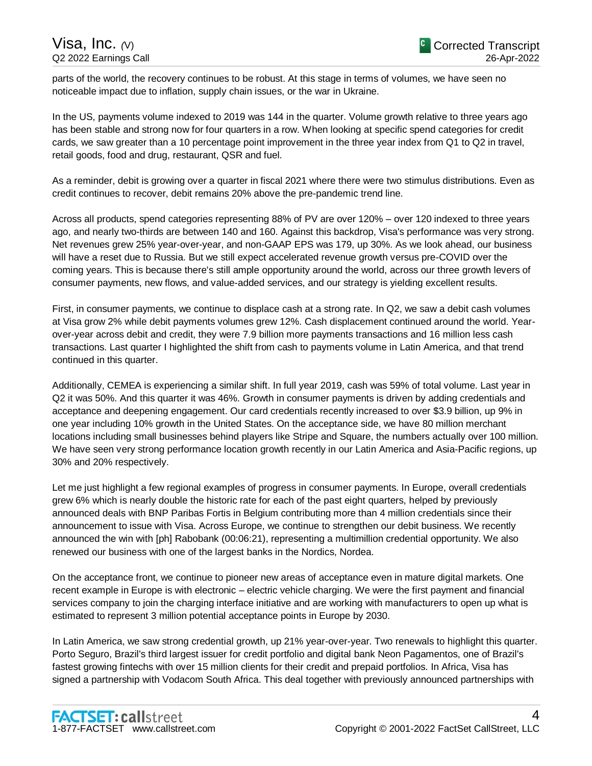parts of the world, the recovery continues to be robust. At this stage in terms of volumes, we have seen no noticeable impact due to inflation, supply chain issues, or the war in Ukraine.

In the US, payments volume indexed to 2019 was 144 in the quarter. Volume growth relative to three years ago has been stable and strong now for four quarters in a row. When looking at specific spend categories for credit cards, we saw greater than a 10 percentage point improvement in the three year index from Q1 to Q2 in travel, retail goods, food and drug, restaurant, QSR and fuel.

As a reminder, debit is growing over a quarter in fiscal 2021 where there were two stimulus distributions. Even as credit continues to recover, debit remains 20% above the pre-pandemic trend line.

Across all products, spend categories representing 88% of PV are over 120% – over 120 indexed to three years ago, and nearly two-thirds are between 140 and 160. Against this backdrop, Visa's performance was very strong. Net revenues grew 25% year-over-year, and non-GAAP EPS was 179, up 30%. As we look ahead, our business will have a reset due to Russia. But we still expect accelerated revenue growth versus pre-COVID over the coming years. This is because there's still ample opportunity around the world, across our three growth levers of consumer payments, new flows, and value-added services, and our strategy is yielding excellent results.

First, in consumer payments, we continue to displace cash at a strong rate. In Q2, we saw a debit cash volumes at Visa grow 2% while debit payments volumes grew 12%. Cash displacement continued around the world. Yearover-year across debit and credit, they were 7.9 billion more payments transactions and 16 million less cash transactions. Last quarter I highlighted the shift from cash to payments volume in Latin America, and that trend continued in this quarter.

Additionally, CEMEA is experiencing a similar shift. In full year 2019, cash was 59% of total volume. Last year in Q2 it was 50%. And this quarter it was 46%. Growth in consumer payments is driven by adding credentials and acceptance and deepening engagement. Our card credentials recently increased to over \$3.9 billion, up 9% in one year including 10% growth in the United States. On the acceptance side, we have 80 million merchant locations including small businesses behind players like Stripe and Square, the numbers actually over 100 million. We have seen very strong performance location growth recently in our Latin America and Asia-Pacific regions, up 30% and 20% respectively.

Let me just highlight a few regional examples of progress in consumer payments. In Europe, overall credentials grew 6% which is nearly double the historic rate for each of the past eight quarters, helped by previously announced deals with BNP Paribas Fortis in Belgium contributing more than 4 million credentials since their announcement to issue with Visa. Across Europe, we continue to strengthen our debit business. We recently announced the win with [ph] Rabobank (00:06:21), representing a multimillion credential opportunity. We also renewed our business with one of the largest banks in the Nordics, Nordea.

On the acceptance front, we continue to pioneer new areas of acceptance even in mature digital markets. One recent example in Europe is with electronic – electric vehicle charging. We were the first payment and financial services company to join the charging interface initiative and are working with manufacturers to open up what is estimated to represent 3 million potential acceptance points in Europe by 2030.

In Latin America, we saw strong credential growth, up 21% year-over-year. Two renewals to highlight this quarter. Porto Seguro, Brazil's third largest issuer for credit portfolio and digital bank Neon Pagamentos, one of Brazil's fastest growing fintechs with over 15 million clients for their credit and prepaid portfolios. In Africa, Visa has signed a partnership with Vodacom South Africa. This deal together with previously announced partnerships with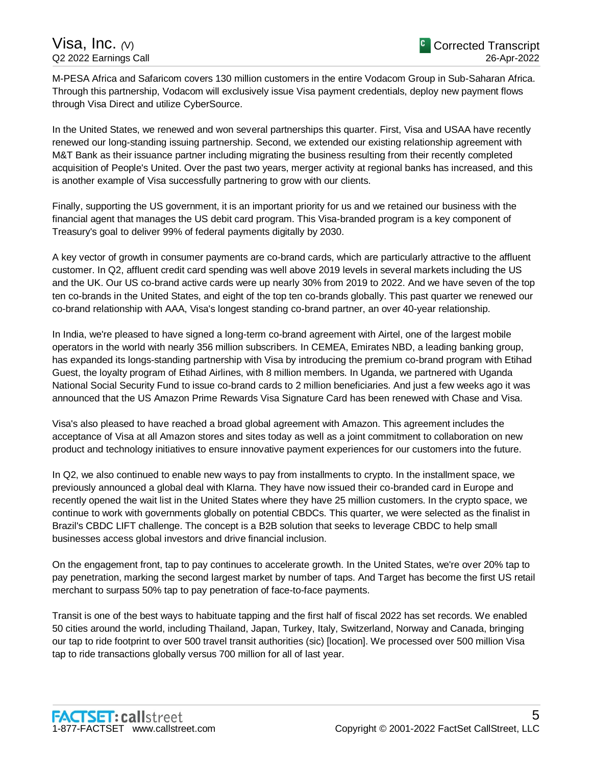M-PESA Africa and Safaricom covers 130 million customers in the entire Vodacom Group in Sub-Saharan Africa. Through this partnership, Vodacom will exclusively issue Visa payment credentials, deploy new payment flows through Visa Direct and utilize CyberSource.

In the United States, we renewed and won several partnerships this quarter. First, Visa and USAA have recently renewed our long-standing issuing partnership. Second, we extended our existing relationship agreement with M&T Bank as their issuance partner including migrating the business resulting from their recently completed acquisition of People's United. Over the past two years, merger activity at regional banks has increased, and this is another example of Visa successfully partnering to grow with our clients.

Finally, supporting the US government, it is an important priority for us and we retained our business with the financial agent that manages the US debit card program. This Visa-branded program is a key component of Treasury's goal to deliver 99% of federal payments digitally by 2030.

A key vector of growth in consumer payments are co-brand cards, which are particularly attractive to the affluent customer. In Q2, affluent credit card spending was well above 2019 levels in several markets including the US and the UK. Our US co-brand active cards were up nearly 30% from 2019 to 2022. And we have seven of the top ten co-brands in the United States, and eight of the top ten co-brands globally. This past quarter we renewed our co-brand relationship with AAA, Visa's longest standing co-brand partner, an over 40-year relationship.

In India, we're pleased to have signed a long-term co-brand agreement with Airtel, one of the largest mobile operators in the world with nearly 356 million subscribers. In CEMEA, Emirates NBD, a leading banking group, has expanded its longs-standing partnership with Visa by introducing the premium co-brand program with Etihad Guest, the loyalty program of Etihad Airlines, with 8 million members. In Uganda, we partnered with Uganda National Social Security Fund to issue co-brand cards to 2 million beneficiaries. And just a few weeks ago it was announced that the US Amazon Prime Rewards Visa Signature Card has been renewed with Chase and Visa.

Visa's also pleased to have reached a broad global agreement with Amazon. This agreement includes the acceptance of Visa at all Amazon stores and sites today as well as a joint commitment to collaboration on new product and technology initiatives to ensure innovative payment experiences for our customers into the future.

In Q2, we also continued to enable new ways to pay from installments to crypto. In the installment space, we previously announced a global deal with Klarna. They have now issued their co-branded card in Europe and recently opened the wait list in the United States where they have 25 million customers. In the crypto space, we continue to work with governments globally on potential CBDCs. This quarter, we were selected as the finalist in Brazil's CBDC LIFT challenge. The concept is a B2B solution that seeks to leverage CBDC to help small businesses access global investors and drive financial inclusion.

On the engagement front, tap to pay continues to accelerate growth. In the United States, we're over 20% tap to pay penetration, marking the second largest market by number of taps. And Target has become the first US retail merchant to surpass 50% tap to pay penetration of face-to-face payments.

Transit is one of the best ways to habituate tapping and the first half of fiscal 2022 has set records. We enabled 50 cities around the world, including Thailand, Japan, Turkey, Italy, Switzerland, Norway and Canada, bringing our tap to ride footprint to over 500 travel transit authorities (sic) [location]. We processed over 500 million Visa tap to ride transactions globally versus 700 million for all of last year.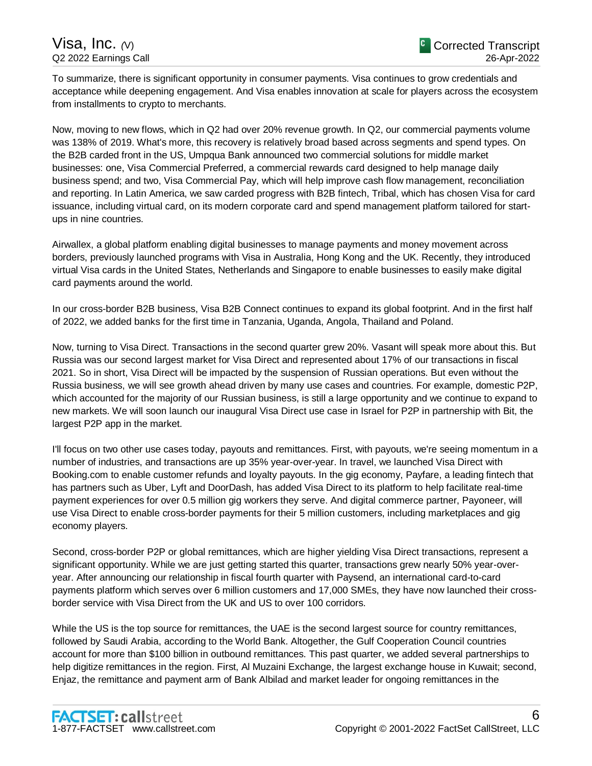To summarize, there is significant opportunity in consumer payments. Visa continues to grow credentials and acceptance while deepening engagement. And Visa enables innovation at scale for players across the ecosystem from installments to crypto to merchants.

Now, moving to new flows, which in Q2 had over 20% revenue growth. In Q2, our commercial payments volume was 138% of 2019. What's more, this recovery is relatively broad based across segments and spend types. On the B2B carded front in the US, Umpqua Bank announced two commercial solutions for middle market businesses: one, Visa Commercial Preferred, a commercial rewards card designed to help manage daily business spend; and two, Visa Commercial Pay, which will help improve cash flow management, reconciliation and reporting. In Latin America, we saw carded progress with B2B fintech, Tribal, which has chosen Visa for card issuance, including virtual card, on its modern corporate card and spend management platform tailored for startups in nine countries.

Airwallex, a global platform enabling digital businesses to manage payments and money movement across borders, previously launched programs with Visa in Australia, Hong Kong and the UK. Recently, they introduced virtual Visa cards in the United States, Netherlands and Singapore to enable businesses to easily make digital card payments around the world.

In our cross-border B2B business, Visa B2B Connect continues to expand its global footprint. And in the first half of 2022, we added banks for the first time in Tanzania, Uganda, Angola, Thailand and Poland.

Now, turning to Visa Direct. Transactions in the second quarter grew 20%. Vasant will speak more about this. But Russia was our second largest market for Visa Direct and represented about 17% of our transactions in fiscal 2021. So in short, Visa Direct will be impacted by the suspension of Russian operations. But even without the Russia business, we will see growth ahead driven by many use cases and countries. For example, domestic P2P, which accounted for the majority of our Russian business, is still a large opportunity and we continue to expand to new markets. We will soon launch our inaugural Visa Direct use case in Israel for P2P in partnership with Bit, the largest P2P app in the market.

I'll focus on two other use cases today, payouts and remittances. First, with payouts, we're seeing momentum in a number of industries, and transactions are up 35% year-over-year. In travel, we launched Visa Direct with Booking.com to enable customer refunds and loyalty payouts. In the gig economy, Payfare, a leading fintech that has partners such as Uber, Lyft and DoorDash, has added Visa Direct to its platform to help facilitate real-time payment experiences for over 0.5 million gig workers they serve. And digital commerce partner, Payoneer, will use Visa Direct to enable cross-border payments for their 5 million customers, including marketplaces and gig economy players.

Second, cross-border P2P or global remittances, which are higher yielding Visa Direct transactions, represent a significant opportunity. While we are just getting started this quarter, transactions grew nearly 50% year-overyear. After announcing our relationship in fiscal fourth quarter with Paysend, an international card-to-card payments platform which serves over 6 million customers and 17,000 SMEs, they have now launched their crossborder service with Visa Direct from the UK and US to over 100 corridors.

While the US is the top source for remittances, the UAE is the second largest source for country remittances, followed by Saudi Arabia, according to the World Bank. Altogether, the Gulf Cooperation Council countries account for more than \$100 billion in outbound remittances. This past quarter, we added several partnerships to help digitize remittances in the region. First, Al Muzaini Exchange, the largest exchange house in Kuwait; second, Enjaz, the remittance and payment arm of Bank Albilad and market leader for ongoing remittances in the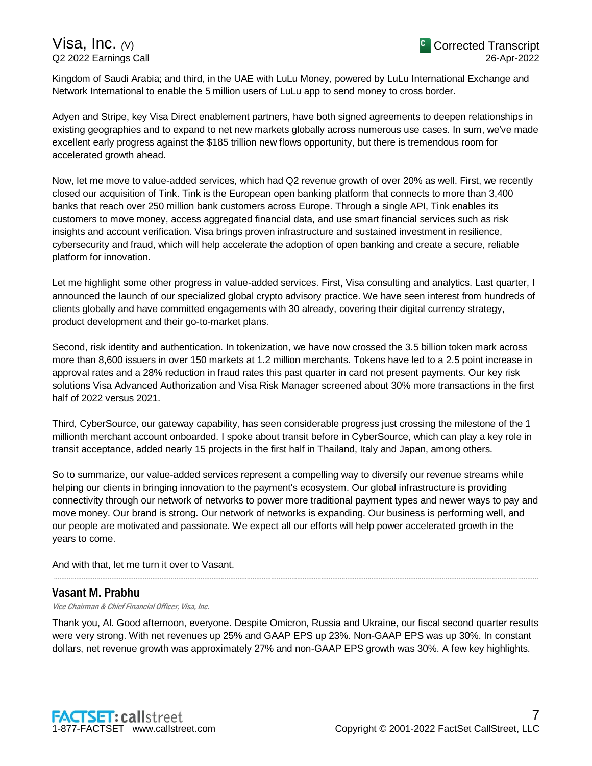# Visa, Inc. *(*V) Q2 2022 Earnings Call

Kingdom of Saudi Arabia; and third, in the UAE with LuLu Money, powered by LuLu International Exchange and Network International to enable the 5 million users of LuLu app to send money to cross border.

Adyen and Stripe, key Visa Direct enablement partners, have both signed agreements to deepen relationships in existing geographies and to expand to net new markets globally across numerous use cases. In sum, we've made excellent early progress against the \$185 trillion new flows opportunity, but there is tremendous room for accelerated growth ahead.

Now, let me move to value-added services, which had Q2 revenue growth of over 20% as well. First, we recently closed our acquisition of Tink. Tink is the European open banking platform that connects to more than 3,400 banks that reach over 250 million bank customers across Europe. Through a single API, Tink enables its customers to move money, access aggregated financial data, and use smart financial services such as risk insights and account verification. Visa brings proven infrastructure and sustained investment in resilience, cybersecurity and fraud, which will help accelerate the adoption of open banking and create a secure, reliable platform for innovation.

Let me highlight some other progress in value-added services. First, Visa consulting and analytics. Last quarter, I announced the launch of our specialized global crypto advisory practice. We have seen interest from hundreds of clients globally and have committed engagements with 30 already, covering their digital currency strategy, product development and their go-to-market plans.

Second, risk identity and authentication. In tokenization, we have now crossed the 3.5 billion token mark across more than 8,600 issuers in over 150 markets at 1.2 million merchants. Tokens have led to a 2.5 point increase in approval rates and a 28% reduction in fraud rates this past quarter in card not present payments. Our key risk solutions Visa Advanced Authorization and Visa Risk Manager screened about 30% more transactions in the first half of 2022 versus 2021.

Third, CyberSource, our gateway capability, has seen considerable progress just crossing the milestone of the 1 millionth merchant account onboarded. I spoke about transit before in CyberSource, which can play a key role in transit acceptance, added nearly 15 projects in the first half in Thailand, Italy and Japan, among others.

So to summarize, our value-added services represent a compelling way to diversify our revenue streams while helping our clients in bringing innovation to the payment's ecosystem. Our global infrastructure is providing connectivity through our network of networks to power more traditional payment types and newer ways to pay and move money. Our brand is strong. Our network of networks is expanding. Our business is performing well, and our people are motivated and passionate. We expect all our efforts will help power accelerated growth in the years to come.

And with that, let me turn it over to Vasant.

# Vasant M. Prabhu

Vice Chairman & Chief Financial Officer, Visa, Inc.

Thank you, Al. Good afternoon, everyone. Despite Omicron, Russia and Ukraine, our fiscal second quarter results were very strong. With net revenues up 25% and GAAP EPS up 23%. Non-GAAP EPS was up 30%. In constant dollars, net revenue growth was approximately 27% and non-GAAP EPS growth was 30%. A few key highlights.

.....................................................................................................................................................................................................................................................................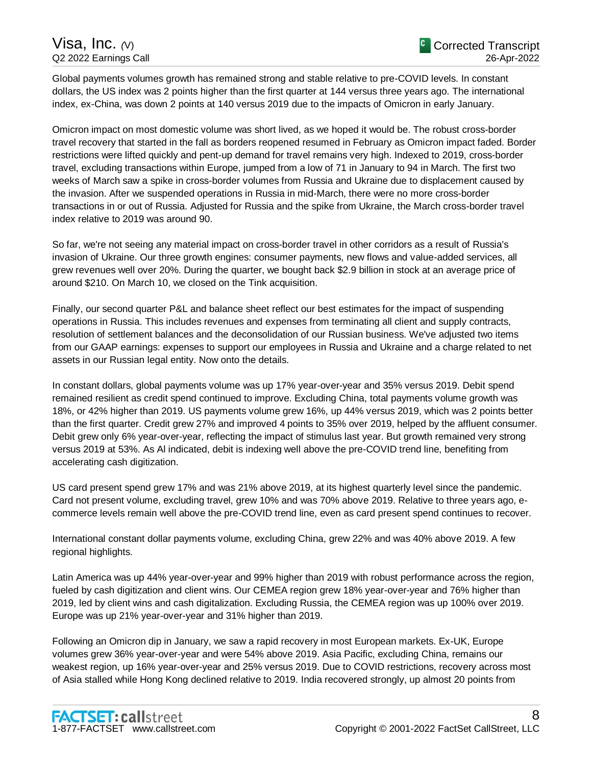Global payments volumes growth has remained strong and stable relative to pre-COVID levels. In constant dollars, the US index was 2 points higher than the first quarter at 144 versus three years ago. The international index, ex-China, was down 2 points at 140 versus 2019 due to the impacts of Omicron in early January.

Omicron impact on most domestic volume was short lived, as we hoped it would be. The robust cross-border travel recovery that started in the fall as borders reopened resumed in February as Omicron impact faded. Border restrictions were lifted quickly and pent-up demand for travel remains very high. Indexed to 2019, cross-border travel, excluding transactions within Europe, jumped from a low of 71 in January to 94 in March. The first two weeks of March saw a spike in cross-border volumes from Russia and Ukraine due to displacement caused by the invasion. After we suspended operations in Russia in mid-March, there were no more cross-border transactions in or out of Russia. Adjusted for Russia and the spike from Ukraine, the March cross-border travel index relative to 2019 was around 90.

So far, we're not seeing any material impact on cross-border travel in other corridors as a result of Russia's invasion of Ukraine. Our three growth engines: consumer payments, new flows and value-added services, all grew revenues well over 20%. During the quarter, we bought back \$2.9 billion in stock at an average price of around \$210. On March 10, we closed on the Tink acquisition.

Finally, our second quarter P&L and balance sheet reflect our best estimates for the impact of suspending operations in Russia. This includes revenues and expenses from terminating all client and supply contracts, resolution of settlement balances and the deconsolidation of our Russian business. We've adjusted two items from our GAAP earnings: expenses to support our employees in Russia and Ukraine and a charge related to net assets in our Russian legal entity. Now onto the details.

In constant dollars, global payments volume was up 17% year-over-year and 35% versus 2019. Debit spend remained resilient as credit spend continued to improve. Excluding China, total payments volume growth was 18%, or 42% higher than 2019. US payments volume grew 16%, up 44% versus 2019, which was 2 points better than the first quarter. Credit grew 27% and improved 4 points to 35% over 2019, helped by the affluent consumer. Debit grew only 6% year-over-year, reflecting the impact of stimulus last year. But growth remained very strong versus 2019 at 53%. As Al indicated, debit is indexing well above the pre-COVID trend line, benefiting from accelerating cash digitization.

US card present spend grew 17% and was 21% above 2019, at its highest quarterly level since the pandemic. Card not present volume, excluding travel, grew 10% and was 70% above 2019. Relative to three years ago, ecommerce levels remain well above the pre-COVID trend line, even as card present spend continues to recover.

International constant dollar payments volume, excluding China, grew 22% and was 40% above 2019. A few regional highlights.

Latin America was up 44% year-over-year and 99% higher than 2019 with robust performance across the region, fueled by cash digitization and client wins. Our CEMEA region grew 18% year-over-year and 76% higher than 2019, led by client wins and cash digitalization. Excluding Russia, the CEMEA region was up 100% over 2019. Europe was up 21% year-over-year and 31% higher than 2019.

Following an Omicron dip in January, we saw a rapid recovery in most European markets. Ex-UK, Europe volumes grew 36% year-over-year and were 54% above 2019. Asia Pacific, excluding China, remains our weakest region, up 16% year-over-year and 25% versus 2019. Due to COVID restrictions, recovery across most of Asia stalled while Hong Kong declined relative to 2019. India recovered strongly, up almost 20 points from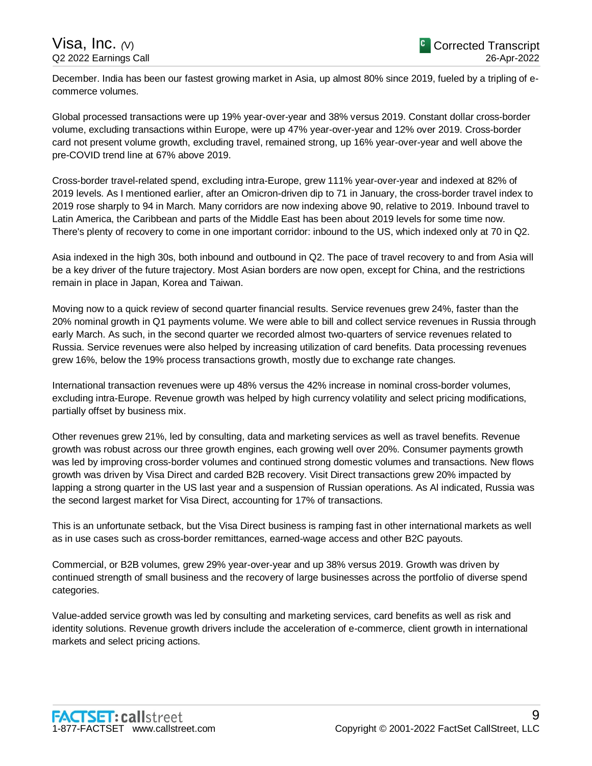December. India has been our fastest growing market in Asia, up almost 80% since 2019, fueled by a tripling of ecommerce volumes.

Global processed transactions were up 19% year-over-year and 38% versus 2019. Constant dollar cross-border volume, excluding transactions within Europe, were up 47% year-over-year and 12% over 2019. Cross-border card not present volume growth, excluding travel, remained strong, up 16% year-over-year and well above the pre-COVID trend line at 67% above 2019.

Cross-border travel-related spend, excluding intra-Europe, grew 111% year-over-year and indexed at 82% of 2019 levels. As I mentioned earlier, after an Omicron-driven dip to 71 in January, the cross-border travel index to 2019 rose sharply to 94 in March. Many corridors are now indexing above 90, relative to 2019. Inbound travel to Latin America, the Caribbean and parts of the Middle East has been about 2019 levels for some time now. There's plenty of recovery to come in one important corridor: inbound to the US, which indexed only at 70 in Q2.

Asia indexed in the high 30s, both inbound and outbound in Q2. The pace of travel recovery to and from Asia will be a key driver of the future trajectory. Most Asian borders are now open, except for China, and the restrictions remain in place in Japan, Korea and Taiwan.

Moving now to a quick review of second quarter financial results. Service revenues grew 24%, faster than the 20% nominal growth in Q1 payments volume. We were able to bill and collect service revenues in Russia through early March. As such, in the second quarter we recorded almost two-quarters of service revenues related to Russia. Service revenues were also helped by increasing utilization of card benefits. Data processing revenues grew 16%, below the 19% process transactions growth, mostly due to exchange rate changes.

International transaction revenues were up 48% versus the 42% increase in nominal cross-border volumes, excluding intra-Europe. Revenue growth was helped by high currency volatility and select pricing modifications, partially offset by business mix.

Other revenues grew 21%, led by consulting, data and marketing services as well as travel benefits. Revenue growth was robust across our three growth engines, each growing well over 20%. Consumer payments growth was led by improving cross-border volumes and continued strong domestic volumes and transactions. New flows growth was driven by Visa Direct and carded B2B recovery. Visit Direct transactions grew 20% impacted by lapping a strong quarter in the US last year and a suspension of Russian operations. As Al indicated, Russia was the second largest market for Visa Direct, accounting for 17% of transactions.

This is an unfortunate setback, but the Visa Direct business is ramping fast in other international markets as well as in use cases such as cross-border remittances, earned-wage access and other B2C payouts.

Commercial, or B2B volumes, grew 29% year-over-year and up 38% versus 2019. Growth was driven by continued strength of small business and the recovery of large businesses across the portfolio of diverse spend categories.

Value-added service growth was led by consulting and marketing services, card benefits as well as risk and identity solutions. Revenue growth drivers include the acceleration of e-commerce, client growth in international markets and select pricing actions.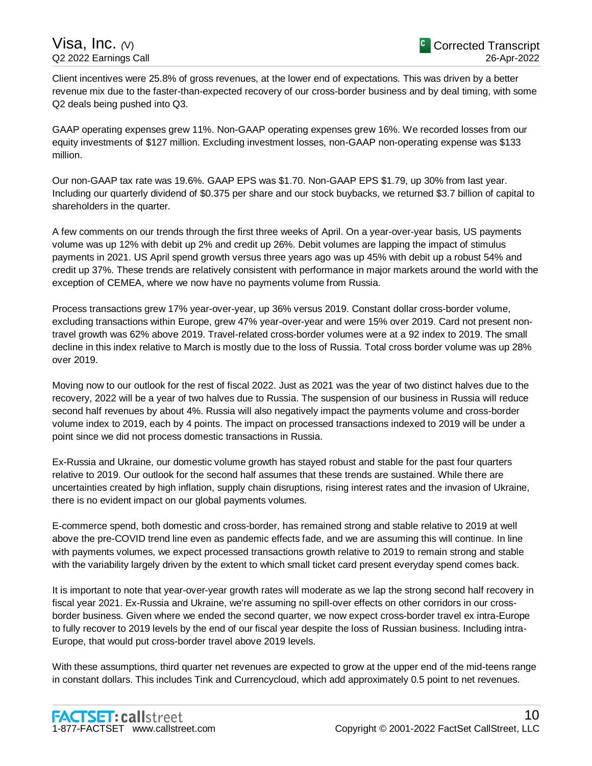Client incentives were 25.8% of gross revenues, at the lower end of expectations. This was driven by a better revenue mix due to the faster-than-expected recovery of our cross-border business and by deal timing, with some Q2 deals being pushed into Q3.

GAAP operating expenses grew 11%. Non-GAAP operating expenses grew 16%. We recorded losses from our equity investments of \$127 million. Excluding investment losses, non-GAAP non-operating expense was \$133 million.

Our non-GAAP tax rate was 19.6%. GAAP EPS was \$1.70. Non-GAAP EPS \$1.79, up 30% from last year. Including our quarterly dividend of \$0.375 per share and our stock buybacks, we returned \$3.7 billion of capital to shareholders in the quarter.

A few comments on our trends through the first three weeks of April. On a year-over-year basis, US payments volume was up 12% with debit up 2% and credit up 26%. Debit volumes are lapping the impact of stimulus payments in 2021. US April spend growth versus three years ago was up 45% with debit up a robust 54% and credit up 37%. These trends are relatively consistent with performance in major markets around the world with the exception of CEMEA, where we now have no payments volume from Russia.

Process transactions grew 17% year-over-year, up 36% versus 2019. Constant dollar cross-border volume, excluding transactions within Europe, grew 47% year-over-year and were 15% over 2019. Card not present nontravel growth was 62% above 2019. Travel-related cross-border volumes were at a 92 index to 2019. The small decline in this index relative to March is mostly due to the loss of Russia. Total cross border volume was up 28% over 2019.

Moving now to our outlook for the rest of fiscal 2022. Just as 2021 was the year of two distinct halves due to the recovery, 2022 will be a year of two halves due to Russia. The suspension of our business in Russia will reduce second half revenues by about 4%. Russia will also negatively impact the payments volume and cross-border volume index to 2019, each by 4 points. The impact on processed transactions indexed to 2019 will be under a point since we did not process domestic transactions in Russia.

Ex-Russia and Ukraine, our domestic volume growth has stayed robust and stable for the past four quarters relative to 2019. Our outlook for the second half assumes that these trends are sustained. While there are uncertainties created by high inflation, supply chain disruptions, rising interest rates and the invasion of Ukraine, there is no evident impact on our global payments volumes.

E-commerce spend, both domestic and cross-border, has remained strong and stable relative to 2019 at well above the pre-COVID trend line even as pandemic effects fade, and we are assuming this will continue. In line with payments volumes, we expect processed transactions growth relative to 2019 to remain strong and stable with the variability largely driven by the extent to which small ticket card present everyday spend comes back.

It is important to note that year-over-year growth rates will moderate as we lap the strong second half recovery in fiscal year 2021. Ex-Russia and Ukraine, we're assuming no spill-over effects on other corridors in our crossborder business. Given where we ended the second quarter, we now expect cross-border travel ex intra-Europe to fully recover to 2019 levels by the end of our fiscal year despite the loss of Russian business. Including intra-Europe, that would put cross-border travel above 2019 levels.

With these assumptions, third quarter net revenues are expected to grow at the upper end of the mid-teens range in constant dollars. This includes Tink and Currencycloud, which add approximately 0.5 point to net revenues.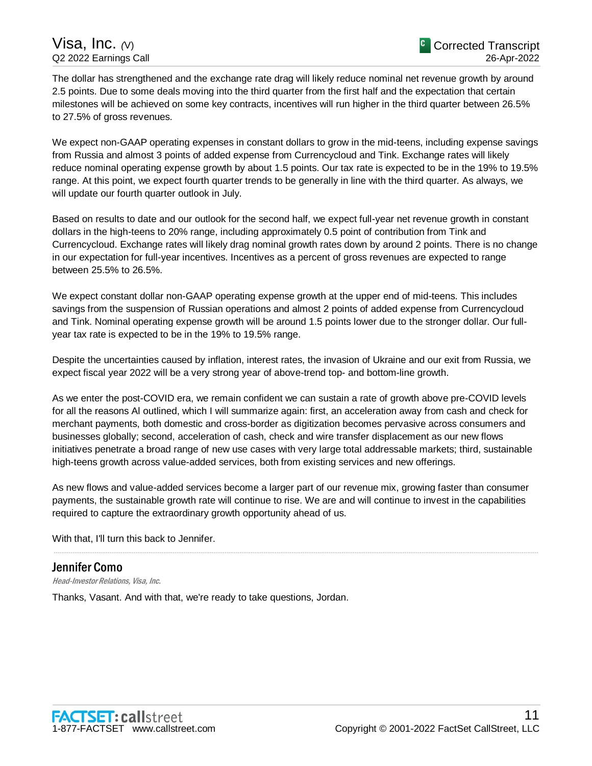The dollar has strengthened and the exchange rate drag will likely reduce nominal net revenue growth by around 2.5 points. Due to some deals moving into the third quarter from the first half and the expectation that certain milestones will be achieved on some key contracts, incentives will run higher in the third quarter between 26.5% to 27.5% of gross revenues.

We expect non-GAAP operating expenses in constant dollars to grow in the mid-teens, including expense savings from Russia and almost 3 points of added expense from Currencycloud and Tink. Exchange rates will likely reduce nominal operating expense growth by about 1.5 points. Our tax rate is expected to be in the 19% to 19.5% range. At this point, we expect fourth quarter trends to be generally in line with the third quarter. As always, we will update our fourth quarter outlook in July.

Based on results to date and our outlook for the second half, we expect full-year net revenue growth in constant dollars in the high-teens to 20% range, including approximately 0.5 point of contribution from Tink and Currencycloud. Exchange rates will likely drag nominal growth rates down by around 2 points. There is no change in our expectation for full-year incentives. Incentives as a percent of gross revenues are expected to range between 25.5% to 26.5%.

We expect constant dollar non-GAAP operating expense growth at the upper end of mid-teens. This includes savings from the suspension of Russian operations and almost 2 points of added expense from Currencycloud and Tink. Nominal operating expense growth will be around 1.5 points lower due to the stronger dollar. Our fullyear tax rate is expected to be in the 19% to 19.5% range.

Despite the uncertainties caused by inflation, interest rates, the invasion of Ukraine and our exit from Russia, we expect fiscal year 2022 will be a very strong year of above-trend top- and bottom-line growth.

As we enter the post-COVID era, we remain confident we can sustain a rate of growth above pre-COVID levels for all the reasons Al outlined, which I will summarize again: first, an acceleration away from cash and check for merchant payments, both domestic and cross-border as digitization becomes pervasive across consumers and businesses globally; second, acceleration of cash, check and wire transfer displacement as our new flows initiatives penetrate a broad range of new use cases with very large total addressable markets; third, sustainable high-teens growth across value-added services, both from existing services and new offerings.

As new flows and value-added services become a larger part of our revenue mix, growing faster than consumer payments, the sustainable growth rate will continue to rise. We are and will continue to invest in the capabilities required to capture the extraordinary growth opportunity ahead of us.

.....................................................................................................................................................................................................................................................................

With that, I'll turn this back to Jennifer.

# Jennifer Como

Head-Investor Relations, Visa, Inc.

Thanks, Vasant. And with that, we're ready to take questions, Jordan.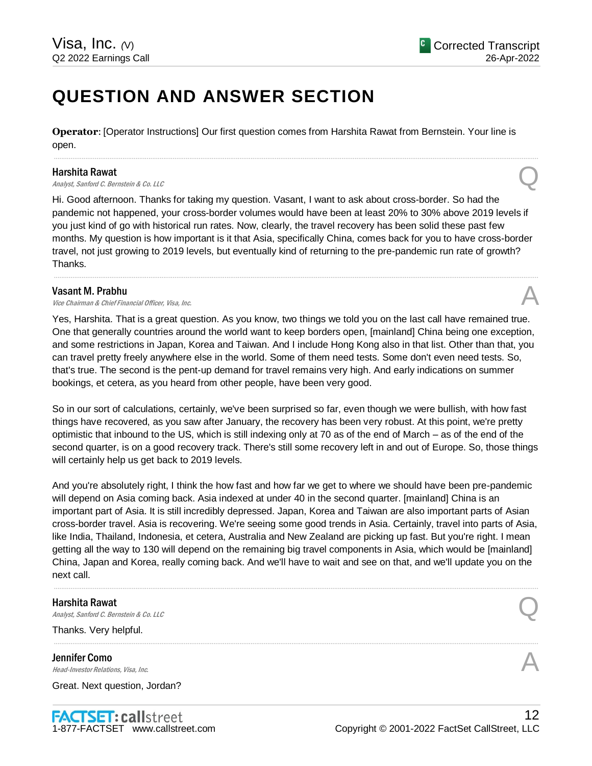# **QUESTION AND ANSWER SECTION**

**Operator**: [Operator Instructions] Our first question comes from Harshita Rawat from Bernstein. Your line is open.

.....................................................................................................................................................................................................................................................................

# Harshita Rawat

**Harshita Rawat**<br>Analyst, Sanford C. Bernstein & Co. LLC Quarter of the Community of the Community of the Community of the Community of the Community of the Community of the Community of the Community of the Community of

Hi. Good afternoon. Thanks for taking my question. Vasant, I want to ask about cross-border. So had the pandemic not happened, your cross-border volumes would have been at least 20% to 30% above 2019 levels if you just kind of go with historical run rates. Now, clearly, the travel recovery has been solid these past few months. My question is how important is it that Asia, specifically China, comes back for you to have cross-border travel, not just growing to 2019 levels, but eventually kind of returning to the pre-pandemic run rate of growth? Thanks.

.....................................................................................................................................................................................................................................................................

# Vasant M. Prabhu

**Vasant M. Prabhu**<br>Vice Chairman & Chief Financial Officer, Visa, Inc. And All and All and All and All and All and All and All and A

Yes, Harshita. That is a great question. As you know, two things we told you on the last call have remained true. One that generally countries around the world want to keep borders open, [mainland] China being one exception, and some restrictions in Japan, Korea and Taiwan. And I include Hong Kong also in that list. Other than that, you can travel pretty freely anywhere else in the world. Some of them need tests. Some don't even need tests. So, that's true. The second is the pent-up demand for travel remains very high. And early indications on summer bookings, et cetera, as you heard from other people, have been very good.

So in our sort of calculations, certainly, we've been surprised so far, even though we were bullish, with how fast things have recovered, as you saw after January, the recovery has been very robust. At this point, we're pretty optimistic that inbound to the US, which is still indexing only at 70 as of the end of March – as of the end of the second quarter, is on a good recovery track. There's still some recovery left in and out of Europe. So, those things will certainly help us get back to 2019 levels.

And you're absolutely right, I think the how fast and how far we get to where we should have been pre-pandemic will depend on Asia coming back. Asia indexed at under 40 in the second quarter. [mainland] China is an important part of Asia. It is still incredibly depressed. Japan, Korea and Taiwan are also important parts of Asian cross-border travel. Asia is recovering. We're seeing some good trends in Asia. Certainly, travel into parts of Asia, like India, Thailand, Indonesia, et cetera, Australia and New Zealand are picking up fast. But you're right. I mean getting all the way to 130 will depend on the remaining big travel components in Asia, which would be [mainland] China, Japan and Korea, really coming back. And we'll have to wait and see on that, and we'll update you on the next call.

.....................................................................................................................................................................................................................................................................

.....................................................................................................................................................................................................................................................................

# Harshita Rawat **Harshita Rawat**<br>Analyst, Sanford C. Bernstein & Co. LLC Quarter of the Company of the Company of Security Sanford C. Bernstein & Co. LLC

Thanks. Very helpful.

Jennifer Como **Jennifer Como**<br>Head-Investor Relations, Visa, Inc.  $\mathcal{A}$ 

Great. Next question, Jordan?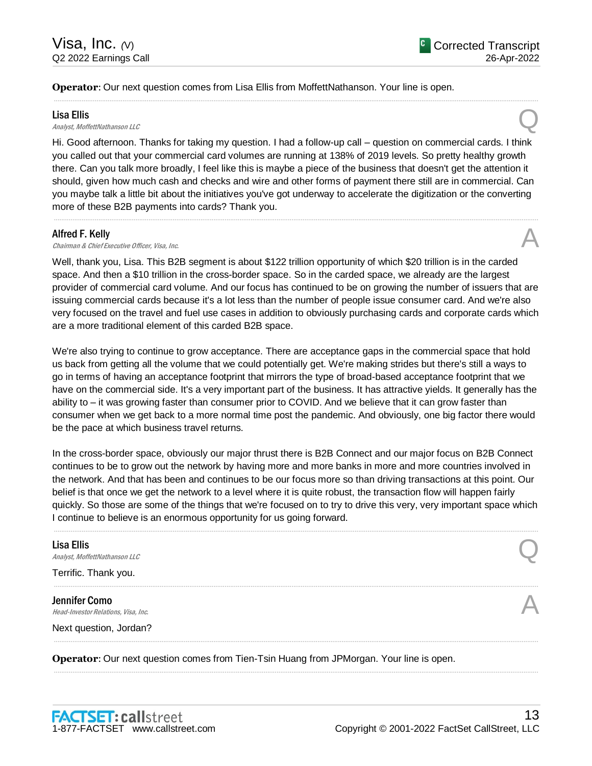**Operator**: Our next question comes from Lisa Ellis from MoffettNathanson. Your line is open.

Lisa Ellis<br>Analyst, MoffettNathanson LLC **Lisa Ellis**<br>Analyst, MoffettNathanson LLC

Hi. Good afternoon. Thanks for taking my question. I had a follow-up call – question on commercial cards. I think you called out that your commercial card volumes are running at 138% of 2019 levels. So pretty healthy growth there. Can you talk more broadly, I feel like this is maybe a piece of the business that doesn't get the attention it should, given how much cash and checks and wire and other forms of payment there still are in commercial. Can you maybe talk a little bit about the initiatives you've got underway to accelerate the digitization or the converting more of these B2B payments into cards? Thank you.

.....................................................................................................................................................................................................................................................................

.....................................................................................................................................................................................................................................................................

# Alfred F. Kelly

**Alfred F. Kelly**<br>Chairman & Chief Executive Officer, Visa, Inc.  $\mathcal{A}$ 

Well, thank you, Lisa. This B2B segment is about \$122 trillion opportunity of which \$20 trillion is in the carded space. And then a \$10 trillion in the cross-border space. So in the carded space, we already are the largest provider of commercial card volume. And our focus has continued to be on growing the number of issuers that are issuing commercial cards because it's a lot less than the number of people issue consumer card. And we're also very focused on the travel and fuel use cases in addition to obviously purchasing cards and corporate cards which are a more traditional element of this carded B2B space.

We're also trying to continue to grow acceptance. There are acceptance gaps in the commercial space that hold us back from getting all the volume that we could potentially get. We're making strides but there's still a ways to go in terms of having an acceptance footprint that mirrors the type of broad-based acceptance footprint that we have on the commercial side. It's a very important part of the business. It has attractive yields. It generally has the ability to – it was growing faster than consumer prior to COVID. And we believe that it can grow faster than consumer when we get back to a more normal time post the pandemic. And obviously, one big factor there would be the pace at which business travel returns.

In the cross-border space, obviously our major thrust there is B2B Connect and our major focus on B2B Connect continues to be to grow out the network by having more and more banks in more and more countries involved in the network. And that has been and continues to be our focus more so than driving transactions at this point. Our belief is that once we get the network to a level where it is quite robust, the transaction flow will happen fairly quickly. So those are some of the things that we're focused on to try to drive this very, very important space which I continue to believe is an enormous opportunity for us going forward.

.....................................................................................................................................................................................................................................................................

# Lisa Ellis **Lisa Ellis**<br>Analyst, MoffettNathanson LLC Terrific. Thank you. ..................................................................................................................................................................................................................................................................... Jennifer Como **Jennifer Como**<br>Head-Investor Relations, Visa, Inc.  $\mathcal{A}$ Next question, Jordan? .....................................................................................................................................................................................................................................................................

.....................................................................................................................................................................................................................................................................

**Operator**: Our next question comes from Tien-Tsin Huang from JPMorgan. Your line is open.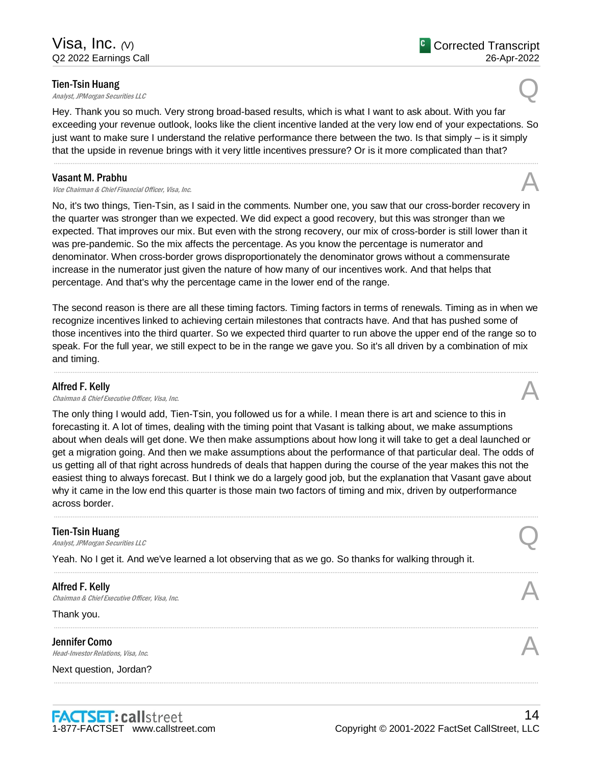# Tien-Tsin Huang

**Tien-Tsin Huang**<br>Analyst, JPMorgan Securities LLC

Hey. Thank you so much. Very strong broad-based results, which is what I want to ask about. With you far exceeding your revenue outlook, looks like the client incentive landed at the very low end of your expectations. So just want to make sure I understand the relative performance there between the two. Is that simply – is it simply that the upside in revenue brings with it very little incentives pressure? Or is it more complicated than that?

.....................................................................................................................................................................................................................................................................

# Vasant M. Prabhu

**Vasant M. Prabhu**<br>Vice Chairman & Chief Financial Officer, Visa, Inc. And All and All and All and All and All and All and All and A

No, it's two things, Tien-Tsin, as I said in the comments. Number one, you saw that our cross-border recovery in the quarter was stronger than we expected. We did expect a good recovery, but this was stronger than we expected. That improves our mix. But even with the strong recovery, our mix of cross-border is still lower than it was pre-pandemic. So the mix affects the percentage. As you know the percentage is numerator and denominator. When cross-border grows disproportionately the denominator grows without a commensurate increase in the numerator just given the nature of how many of our incentives work. And that helps that percentage. And that's why the percentage came in the lower end of the range.

The second reason is there are all these timing factors. Timing factors in terms of renewals. Timing as in when we recognize incentives linked to achieving certain milestones that contracts have. And that has pushed some of those incentives into the third quarter. So we expected third quarter to run above the upper end of the range so to speak. For the full year, we still expect to be in the range we gave you. So it's all driven by a combination of mix and timing.

.....................................................................................................................................................................................................................................................................

# Alfred F. Kelly

**Alfred F. Kelly**<br>Chairman & Chief Executive Officer, Visa, Inc.  $\mathcal{A}$ 

The only thing I would add, Tien-Tsin, you followed us for a while. I mean there is art and science to this in forecasting it. A lot of times, dealing with the timing point that Vasant is talking about, we make assumptions about when deals will get done. We then make assumptions about how long it will take to get a deal launched or get a migration going. And then we make assumptions about the performance of that particular deal. The odds of us getting all of that right across hundreds of deals that happen during the course of the year makes this not the easiest thing to always forecast. But I think we do a largely good job, but the explanation that Vasant gave about why it came in the low end this quarter is those main two factors of timing and mix, driven by outperformance across border.

.....................................................................................................................................................................................................................................................................

.....................................................................................................................................................................................................................................................................

.....................................................................................................................................................................................................................................................................

.....................................................................................................................................................................................................................................................................

# Tien-Tsin Huang

**Tien-Tsin Huang**<br>Analyst, JPMorgan Securities LLC

Yeah. No I get it. And we've learned a lot observing that as we go. So thanks for walking through it.

# Alfred F. Kelly **Alfred F. Kelly**<br>Chairman & Chief Executive Officer, Visa, Inc.  $\mathcal{A}$

Thank you.

Jennifer Como **Jennifer Como**<br>Head-Investor Relations, Visa, Inc. And the set of the set of the set of the set of the set of the set of the set of the set of the set of the set of the set of the set of the set of the set of the set of

Next question, Jordan?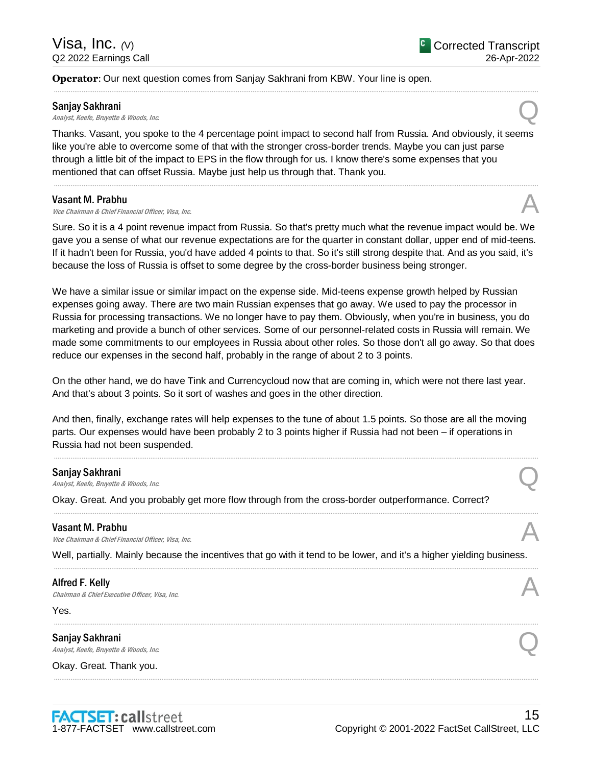# **Operator**: Our next question comes from Sanjay Sakhrani from KBW. Your line is open.

#### Sanjay Sakhrani

**Sanjay Sakhrani**<br>Analyst, Keefe, Bruyette & Woods, Inc. Quality Contains a set of the Manalyst, Keefe, Bruyette & Woods, Inc.

Thanks. Vasant, you spoke to the 4 percentage point impact to second half from Russia. And obviously, it seems like you're able to overcome some of that with the stronger cross-border trends. Maybe you can just parse through a little bit of the impact to EPS in the flow through for us. I know there's some expenses that you mentioned that can offset Russia. Maybe just help us through that. Thank you.

.....................................................................................................................................................................................................................................................................

.....................................................................................................................................................................................................................................................................

## Vasant M. Prabhu

**Vasant M. Prabhu**<br>Vice Chairman & Chief Financial Officer, Visa, Inc. And All and All and All and All and All and All and All and A

Sure. So it is a 4 point revenue impact from Russia. So that's pretty much what the revenue impact would be. We gave you a sense of what our revenue expectations are for the quarter in constant dollar, upper end of mid-teens. If it hadn't been for Russia, you'd have added 4 points to that. So it's still strong despite that. And as you said, it's because the loss of Russia is offset to some degree by the cross-border business being stronger.

We have a similar issue or similar impact on the expense side. Mid-teens expense growth helped by Russian expenses going away. There are two main Russian expenses that go away. We used to pay the processor in Russia for processing transactions. We no longer have to pay them. Obviously, when you're in business, you do marketing and provide a bunch of other services. Some of our personnel-related costs in Russia will remain. We made some commitments to our employees in Russia about other roles. So those don't all go away. So that does reduce our expenses in the second half, probably in the range of about 2 to 3 points.

On the other hand, we do have Tink and Currencycloud now that are coming in, which were not there last year. And that's about 3 points. So it sort of washes and goes in the other direction.

And then, finally, exchange rates will help expenses to the tune of about 1.5 points. So those are all the moving parts. Our expenses would have been probably 2 to 3 points higher if Russia had not been – if operations in Russia had not been suspended.

.....................................................................................................................................................................................................................................................................

.....................................................................................................................................................................................................................................................................

## Sanjay Sakhrani

**Sanjay Sakhrani**<br>Analyst, Keefe, Bruyette & Woods, Inc. Quality Contains a set of the Manalyst, Keefe, Bruyette & Woods, Inc.

Okay. Great. And you probably get more flow through from the cross-border outperformance. Correct?

**Vasant M. Prabhu**<br>*Vice Chairman & Chief Financial Officer, Visa, Inc.* **Vasant M. Prabhu**<br>Vice Chairman & Chief Financial Officer, Visa, Inc. And All and All and All and All and All and All and All and A

Well, partially. Mainly because the incentives that go with it tend to be lower, and it's a higher yielding business. .....................................................................................................................................................................................................................................................................

.....................................................................................................................................................................................................................................................................

.....................................................................................................................................................................................................................................................................

## Alfred F. Kelly

**Alfred F. Kelly**<br>Chairman & Chief Executive Officer, Visa, Inc.  $\mathcal{A}$ 

Yes.

Sanjay Sakhrani **Sanjay Sakhrani**<br>Analyst, Keefe, Bruyette & Woods, Inc. Quality Contains a set of the Manalyst, Keefe, Bruyette & Woods, Inc.

Okay. Great. Thank you.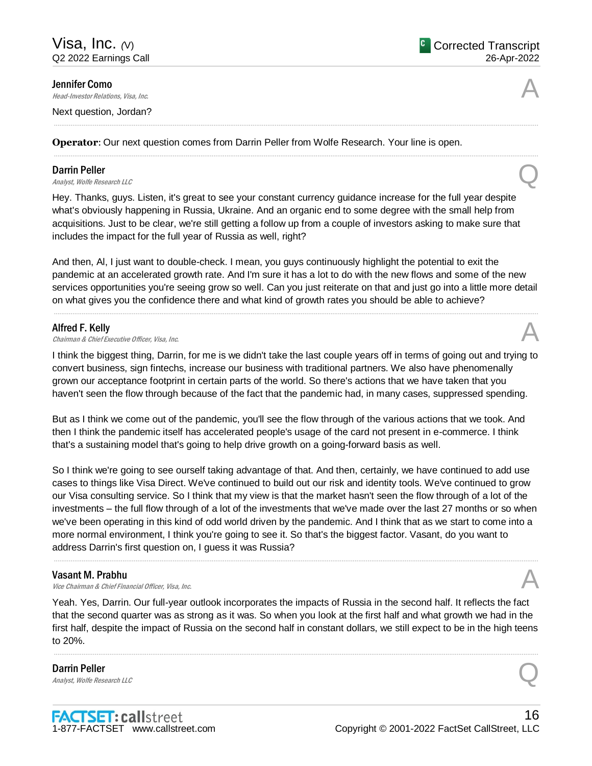Jennifer Como

**Jennifer Como**<br>Head-Investor Relations, Visa, Inc.  $\mathcal{A}$ 

Next question, Jordan?

**Operator**: Our next question comes from Darrin Peller from Wolfe Research. Your line is open.

# Darrin Peller

**Darrin Peller**<br>Analyst, Wolfe Research LLC

Hey. Thanks, guys. Listen, it's great to see your constant currency guidance increase for the full year despite what's obviously happening in Russia, Ukraine. And an organic end to some degree with the small help from acquisitions. Just to be clear, we're still getting a follow up from a couple of investors asking to make sure that includes the impact for the full year of Russia as well, right?

.....................................................................................................................................................................................................................................................................

.....................................................................................................................................................................................................................................................................

And then, Al, I just want to double-check. I mean, you guys continuously highlight the potential to exit the pandemic at an accelerated growth rate. And I'm sure it has a lot to do with the new flows and some of the new services opportunities you're seeing grow so well. Can you just reiterate on that and just go into a little more detail on what gives you the confidence there and what kind of growth rates you should be able to achieve?

.....................................................................................................................................................................................................................................................................

# Alfred F. Kelly

**Alfred F. Kelly**<br>Chairman & Chief Executive Officer, Visa, Inc.  $\mathcal{A}$ 

I think the biggest thing, Darrin, for me is we didn't take the last couple years off in terms of going out and trying to convert business, sign fintechs, increase our business with traditional partners. We also have phenomenally grown our acceptance footprint in certain parts of the world. So there's actions that we have taken that you haven't seen the flow through because of the fact that the pandemic had, in many cases, suppressed spending.

But as I think we come out of the pandemic, you'll see the flow through of the various actions that we took. And then I think the pandemic itself has accelerated people's usage of the card not present in e-commerce. I think that's a sustaining model that's going to help drive growth on a going-forward basis as well.

So I think we're going to see ourself taking advantage of that. And then, certainly, we have continued to add use cases to things like Visa Direct. We've continued to build out our risk and identity tools. We've continued to grow our Visa consulting service. So I think that my view is that the market hasn't seen the flow through of a lot of the investments – the full flow through of a lot of the investments that we've made over the last 27 months or so when we've been operating in this kind of odd world driven by the pandemic. And I think that as we start to come into a more normal environment, I think you're going to see it. So that's the biggest factor. Vasant, do you want to address Darrin's first question on, I guess it was Russia?

.....................................................................................................................................................................................................................................................................

## Vasant M. Prabhu

**Vasant M. Prabhu**<br>Vice Chairman & Chief Financial Officer, Visa, Inc. And All and All and All and All and All and All and All and A

Yeah. Yes, Darrin. Our full-year outlook incorporates the impacts of Russia in the second half. It reflects the fact that the second quarter was as strong as it was. So when you look at the first half and what growth we had in the first half, despite the impact of Russia on the second half in constant dollars, we still expect to be in the high teens to 20%.

.....................................................................................................................................................................................................................................................................

# Darrin Peller **Darrin Peller**<br>Analyst, Wolfe Research LLC

**FACTSET: callstreet** 1-877-FACTSET www.callstreet.com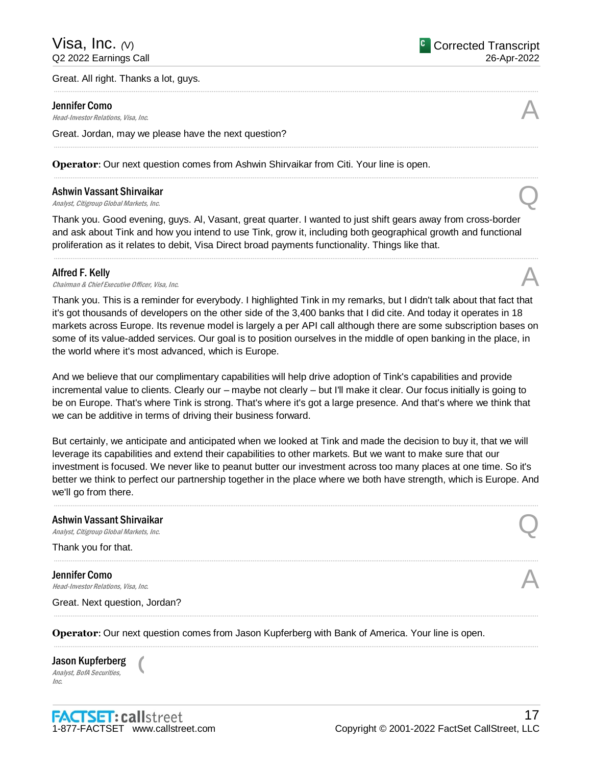#### Great. All right. Thanks a lot, guys.

#### Jennifer Como

**Jennifer Como**<br>Head-Investor Relations, Visa, Inc.  $\mathcal{A}$ 

Great. Jordan, may we please have the next question?

**Operator**: Our next question comes from Ashwin Shirvaikar from Citi. Your line is open.

# Ashwin Vassant Shirvaikar **Ashwin Vassant Shirvaikar**<br>Analyst, Citigroup Global Markets, Inc. Quarter of Analyst, Citigroup Global Markets, Inc.

Thank you. Good evening, guys. Al, Vasant, great quarter. I wanted to just shift gears away from cross-border and ask about Tink and how you intend to use Tink, grow it, including both geographical growth and functional proliferation as it relates to debit, Visa Direct broad payments functionality. Things like that.

.....................................................................................................................................................................................................................................................................

.....................................................................................................................................................................................................................................................................

.....................................................................................................................................................................................................................................................................

.....................................................................................................................................................................................................................................................................

#### Alfred F. Kelly

**Alfred F. Kelly**<br>Chairman & Chief Executive Officer, Visa, Inc.  $\mathcal{A}$ 

Thank you. This is a reminder for everybody. I highlighted Tink in my remarks, but I didn't talk about that fact that it's got thousands of developers on the other side of the 3,400 banks that I did cite. And today it operates in 18 markets across Europe. Its revenue model is largely a per API call although there are some subscription bases on some of its value-added services. Our goal is to position ourselves in the middle of open banking in the place, in the world where it's most advanced, which is Europe.

And we believe that our complimentary capabilities will help drive adoption of Tink's capabilities and provide incremental value to clients. Clearly our – maybe not clearly – but I'll make it clear. Our focus initially is going to be on Europe. That's where Tink is strong. That's where it's got a large presence. And that's where we think that we can be additive in terms of driving their business forward.

But certainly, we anticipate and anticipated when we looked at Tink and made the decision to buy it, that we will leverage its capabilities and extend their capabilities to other markets. But we want to make sure that our investment is focused. We never like to peanut butter our investment across too many places at one time. So it's better we think to perfect our partnership together in the place where we both have strength, which is Europe. And we'll go from there.

.....................................................................................................................................................................................................................................................................

.....................................................................................................................................................................................................................................................................

.....................................................................................................................................................................................................................................................................

# Ashwin Vassant Shirvaikar Ashwin Vassant Shirvaikar<br>Analyst, Citigroup Global Markets, Inc. Quarter of the Control of the Control of the Control of the Control of

Thank you for that.

Jennifer Como **Jennifer Como**<br>Head-Investor Relations, Visa, Inc.  $\mathcal{A}$ 

Great. Next question, Jordan?

**Operator**: Our next question comes from Jason Kupferberg with Bank of America. Your line is open.

Jason Kupferberg Analyst, BofA Securities, Inc.

 $\overline{C}$ 



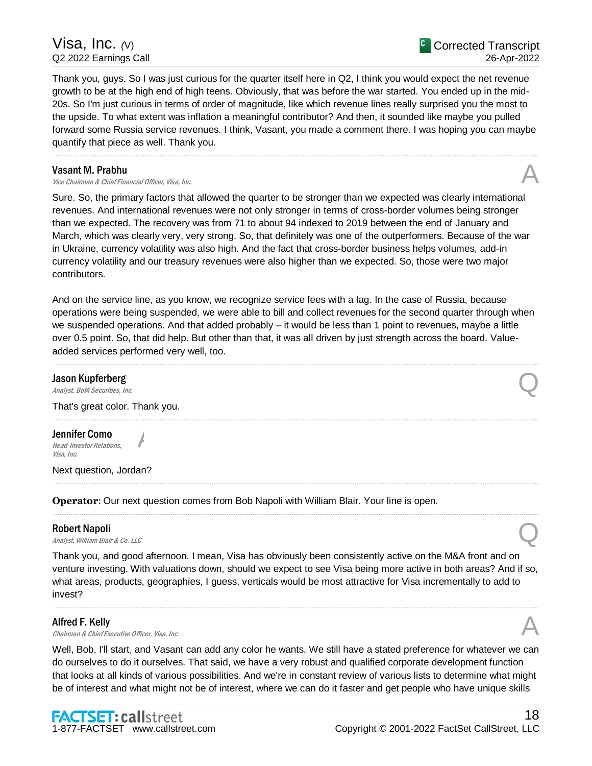Visa, Inc. *(*V) Q2 2022 Earnings Call

Thank you, guys. So I was just curious for the quarter itself here in Q2, I think you would expect the net revenue growth to be at the high end of high teens. Obviously, that was before the war started. You ended up in the mid-20s. So I'm just curious in terms of order of magnitude, like which revenue lines really surprised you the most to the upside. To what extent was inflation a meaningful contributor? And then, it sounded like maybe you pulled forward some Russia service revenues. I think, Vasant, you made a comment there. I was hoping you can maybe quantify that piece as well. Thank you.

.....................................................................................................................................................................................................................................................................

# Vasant M. Prabhu

**Vasant M. Prabhu**<br>Vice Chairman & Chief Financial Officer, Visa, Inc. And All and All and All and All and All and All and All and A

Sure. So, the primary factors that allowed the quarter to be stronger than we expected was clearly international revenues. And international revenues were not only stronger in terms of cross-border volumes being stronger than we expected. The recovery was from 71 to about 94 indexed to 2019 between the end of January and March, which was clearly very, very strong. So, that definitely was one of the outperformers. Because of the war in Ukraine, currency volatility was also high. And the fact that cross-border business helps volumes, add-in currency volatility and our treasury revenues were also higher than we expected. So, those were two major contributors.

And on the service line, as you know, we recognize service fees with a lag. In the case of Russia, because operations were being suspended, we were able to bill and collect revenues for the second quarter through when we suspended operations. And that added probably – it would be less than 1 point to revenues, maybe a little over 0.5 point. So, that did help. But other than that, it was all driven by just strength across the board. Valueadded services performed very well, too.

.....................................................................................................................................................................................................................................................................

.....................................................................................................................................................................................................................................................................

.....................................................................................................................................................................................................................................................................

.....................................................................................................................................................................................................................................................................

# Jason Kupferberg **Jason Kupferberg**<br>Analyst, BofA Securities, Inc. Quality of the Control of the Control of the Control of the Control of the Control of the Control of the Control of the Control of the Control of the Control of the Contro

That's great color. Thank you.

A

Jennifer Como Head-Investor Relations, Visa, Inc.

Next question, Jordan?

**Operator**: Our next question comes from Bob Napoli with William Blair. Your line is open.

## Robert Napoli

**Robert Napoli**<br>Analyst, William Blair & Co. LLC

Thank you, and good afternoon. I mean, Visa has obviously been consistently active on the M&A front and on venture investing. With valuations down, should we expect to see Visa being more active in both areas? And if so, what areas, products, geographies, I guess, verticals would be most attractive for Visa incrementally to add to invest?

.....................................................................................................................................................................................................................................................................

# Alfred F. Kelly

**Alfred F. Kelly**<br>Chairman & Chief Executive Officer, Visa, Inc.  $\mathcal{A}$ 

Well, Bob, I'll start, and Vasant can add any color he wants. We still have a stated preference for whatever we can do ourselves to do it ourselves. That said, we have a very robust and qualified corporate development function that looks at all kinds of various possibilities. And we're in constant review of various lists to determine what might be of interest and what might not be of interest, where we can do it faster and get people who have unique skills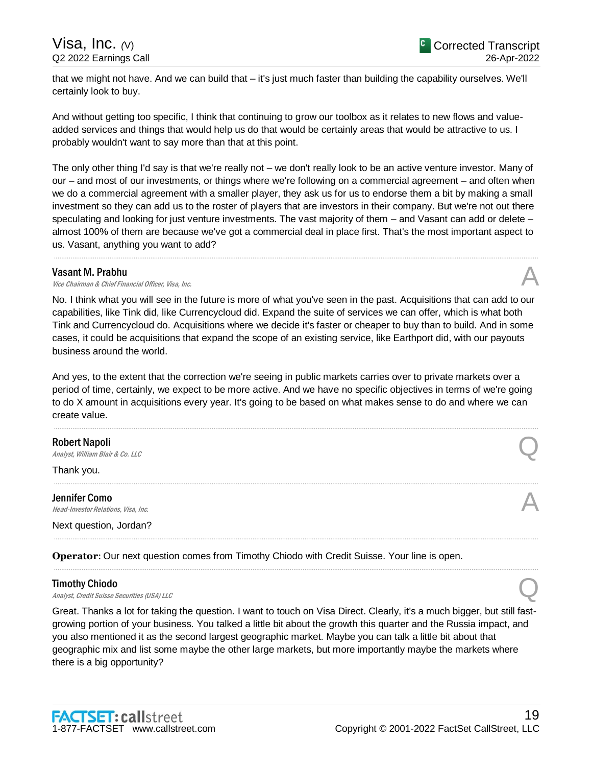that we might not have. And we can build that – it's just much faster than building the capability ourselves. We'll certainly look to buy.

And without getting too specific, I think that continuing to grow our toolbox as it relates to new flows and valueadded services and things that would help us do that would be certainly areas that would be attractive to us. I probably wouldn't want to say more than that at this point.

The only other thing I'd say is that we're really not – we don't really look to be an active venture investor. Many of our – and most of our investments, or things where we're following on a commercial agreement – and often when we do a commercial agreement with a smaller player, they ask us for us to endorse them a bit by making a small investment so they can add us to the roster of players that are investors in their company. But we're not out there speculating and looking for just venture investments. The vast majority of them – and Vasant can add or delete – almost 100% of them are because we've got a commercial deal in place first. That's the most important aspect to us. Vasant, anything you want to add?

.....................................................................................................................................................................................................................................................................

#### Vasant M. Prabhu

**Vasant M. Prabhu**<br>Vice Chairman & Chief Financial Officer, Visa, Inc. And All and All and All and All and All and All and All and A

No. I think what you will see in the future is more of what you've seen in the past. Acquisitions that can add to our capabilities, like Tink did, like Currencycloud did. Expand the suite of services we can offer, which is what both Tink and Currencycloud do. Acquisitions where we decide it's faster or cheaper to buy than to build. And in some cases, it could be acquisitions that expand the scope of an existing service, like Earthport did, with our payouts business around the world.

And yes, to the extent that the correction we're seeing in public markets carries over to private markets over a period of time, certainly, we expect to be more active. And we have no specific objectives in terms of we're going to do X amount in acquisitions every year. It's going to be based on what makes sense to do and where we can create value.

.....................................................................................................................................................................................................................................................................

.....................................................................................................................................................................................................................................................................

.....................................................................................................................................................................................................................................................................

.....................................................................................................................................................................................................................................................................

## Robert Napoli

**Robert Napoli**<br>Analyst, William Blair & Co. LLC

Thank you.

Jennifer Como **Jennifer Como**<br>Head-Investor Relations, Visa, Inc.  $\mathcal{A}$ 

Next question, Jordan?

**Operator**: Our next question comes from Timothy Chiodo with Credit Suisse. Your line is open.

## Timothy Chiodo

**Timothy Chiodo**<br>Analyst, Credit Suisse Securities (USA) LLC

Great. Thanks a lot for taking the question. I want to touch on Visa Direct. Clearly, it's a much bigger, but still fastgrowing portion of your business. You talked a little bit about the growth this quarter and the Russia impact, and you also mentioned it as the second largest geographic market. Maybe you can talk a little bit about that geographic mix and list some maybe the other large markets, but more importantly maybe the markets where there is a big opportunity?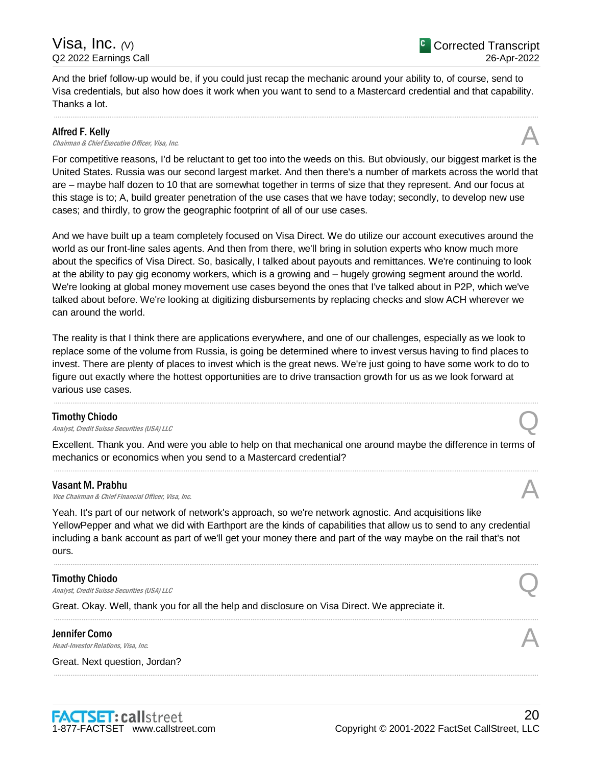And the brief follow-up would be, if you could just recap the mechanic around your ability to, of course, send to Visa credentials, but also how does it work when you want to send to a Mastercard credential and that capability. Thanks a lot.

.....................................................................................................................................................................................................................................................................

# Alfred F. Kelly

**Alfred F. Kelly**<br>Chairman & Chief Executive Officer, Visa, Inc.  $\mathcal{A}$ 

For competitive reasons, I'd be reluctant to get too into the weeds on this. But obviously, our biggest market is the United States. Russia was our second largest market. And then there's a number of markets across the world that are – maybe half dozen to 10 that are somewhat together in terms of size that they represent. And our focus at this stage is to; A, build greater penetration of the use cases that we have today; secondly, to develop new use cases; and thirdly, to grow the geographic footprint of all of our use cases.

And we have built up a team completely focused on Visa Direct. We do utilize our account executives around the world as our front-line sales agents. And then from there, we'll bring in solution experts who know much more about the specifics of Visa Direct. So, basically, I talked about payouts and remittances. We're continuing to look at the ability to pay gig economy workers, which is a growing and – hugely growing segment around the world. We're looking at global money movement use cases beyond the ones that I've talked about in P2P, which we've talked about before. We're looking at digitizing disbursements by replacing checks and slow ACH wherever we can around the world.

The reality is that I think there are applications everywhere, and one of our challenges, especially as we look to replace some of the volume from Russia, is going be determined where to invest versus having to find places to invest. There are plenty of places to invest which is the great news. We're just going to have some work to do to figure out exactly where the hottest opportunities are to drive transaction growth for us as we look forward at various use cases.

# Timothy Chiodo

**Timothy Chiodo**<br>Analyst, Credit Suisse Securities (USA) LLC

Excellent. Thank you. And were you able to help on that mechanical one around maybe the difference in terms of mechanics or economics when you send to a Mastercard credential? .....................................................................................................................................................................................................................................................................

.....................................................................................................................................................................................................................................................................

# Vasant M. Prabhu

**Vasant M. Prabhu**<br>Vice Chairman & Chief Financial Officer, Visa, Inc. And All and All and All and All and All and All and All and A

Yeah. It's part of our network of network's approach, so we're network agnostic. And acquisitions like YellowPepper and what we did with Earthport are the kinds of capabilities that allow us to send to any credential including a bank account as part of we'll get your money there and part of the way maybe on the rail that's not ours.

.....................................................................................................................................................................................................................................................................

.....................................................................................................................................................................................................................................................................

.....................................................................................................................................................................................................................................................................

# Timothy Chiodo

**Timothy Chiodo**<br>Analyst, Credit Suisse Securities (USA) LLC

Great. Okay. Well, thank you for all the help and disclosure on Visa Direct. We appreciate it.

# Jennifer Como **Jennifer Como**<br>Head-Investor Relations, Visa, Inc.  $\mathcal{A}$

Great. Next question, Jordan?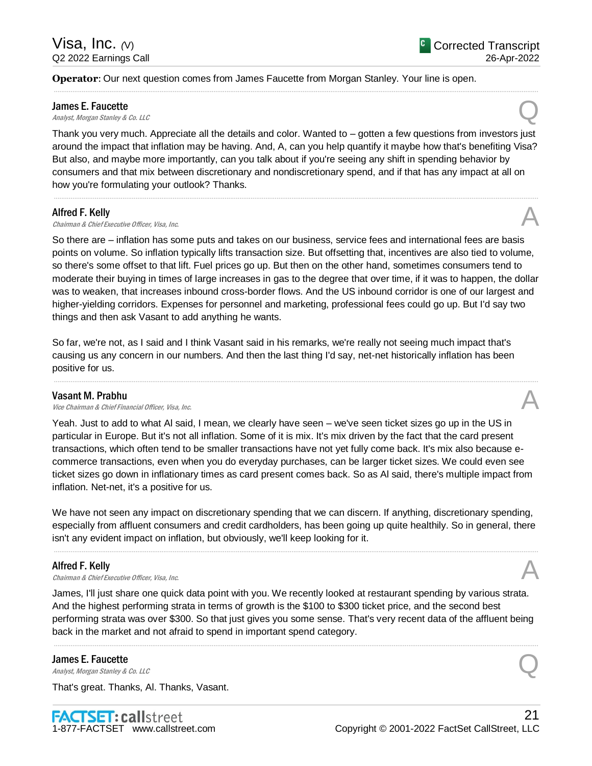**Operator**: Our next question comes from James Faucette from Morgan Stanley. Your line is open.

#### James E. Faucette

**James E. Faucette**<br>Analyst, Morgan Stanley & Co. LLC Quarter of the Control of the Control of the Control of the Control of the Co

Thank you very much. Appreciate all the details and color. Wanted to – gotten a few questions from investors just around the impact that inflation may be having. And, A, can you help quantify it maybe how that's benefiting Visa? But also, and maybe more importantly, can you talk about if you're seeing any shift in spending behavior by consumers and that mix between discretionary and nondiscretionary spend, and if that has any impact at all on how you're formulating your outlook? Thanks.

.....................................................................................................................................................................................................................................................................

.....................................................................................................................................................................................................................................................................

## Alfred F. Kelly

# **Alfred F. Kelly**<br>Chairman & Chief Executive Officer, Visa, Inc.  $\mathcal{A}$

So there are – inflation has some puts and takes on our business, service fees and international fees are basis points on volume. So inflation typically lifts transaction size. But offsetting that, incentives are also tied to volume, so there's some offset to that lift. Fuel prices go up. But then on the other hand, sometimes consumers tend to moderate their buying in times of large increases in gas to the degree that over time, if it was to happen, the dollar was to weaken, that increases inbound cross-border flows. And the US inbound corridor is one of our largest and higher-yielding corridors. Expenses for personnel and marketing, professional fees could go up. But I'd say two things and then ask Vasant to add anything he wants.

So far, we're not, as I said and I think Vasant said in his remarks, we're really not seeing much impact that's causing us any concern in our numbers. And then the last thing I'd say, net-net historically inflation has been positive for us.

.....................................................................................................................................................................................................................................................................

## Vasant M. Prabhu

**Vasant M. Prabhu**<br>Vice Chairman & Chief Financial Officer, Visa, Inc. And All and All and All and All and All and All and All and A

Yeah. Just to add to what Al said, I mean, we clearly have seen – we've seen ticket sizes go up in the US in particular in Europe. But it's not all inflation. Some of it is mix. It's mix driven by the fact that the card present transactions, which often tend to be smaller transactions have not yet fully come back. It's mix also because ecommerce transactions, even when you do everyday purchases, can be larger ticket sizes. We could even see ticket sizes go down in inflationary times as card present comes back. So as Al said, there's multiple impact from inflation. Net-net, it's a positive for us.

We have not seen any impact on discretionary spending that we can discern. If anything, discretionary spending, especially from affluent consumers and credit cardholders, has been going up quite healthily. So in general, there isn't any evident impact on inflation, but obviously, we'll keep looking for it.

.....................................................................................................................................................................................................................................................................

# Alfred F. Kelly

**Alfred F. Kelly**<br>Chairman & Chief Executive Officer, Visa, Inc.  $\mathcal{A}$ 

James, I'll just share one quick data point with you. We recently looked at restaurant spending by various strata. And the highest performing strata in terms of growth is the \$100 to \$300 ticket price, and the second best performing strata was over \$300. So that just gives you some sense. That's very recent data of the affluent being back in the market and not afraid to spend in important spend category.

.....................................................................................................................................................................................................................................................................

## James E. Faucette

**James E. Faucette**<br>Analyst, Morgan Stanley & Co. LLC Quarter of the Control of the Control of the Control of the Control of the Co

That's great. Thanks, Al. Thanks, Vasant.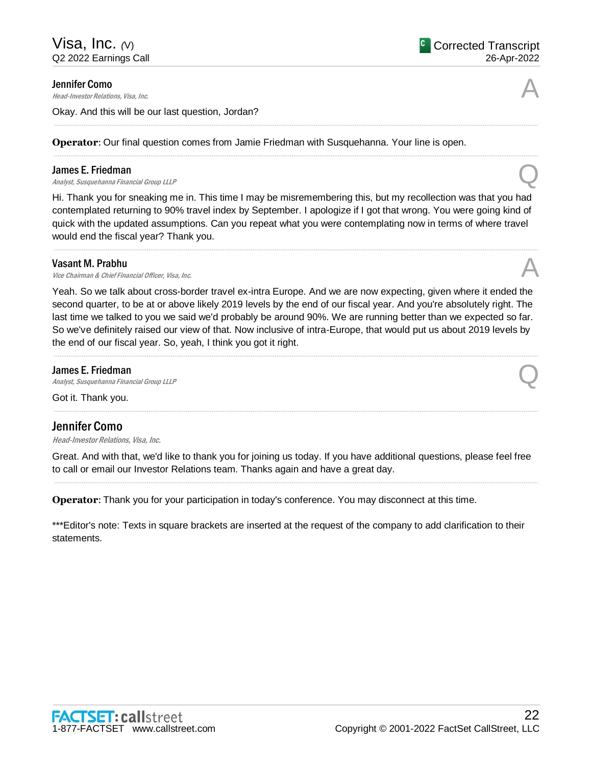**Jennifer Como**<br>Head-Investor Relations, Visa, Inc. **Jennifer Como**<br>Head-Investor Relations, Visa, Inc.  $\mathcal{A}$ 

Okay. And this will be our last question, Jordan?

**Operator**: Our final question comes from Jamie Friedman with Susquehanna. Your line is open.

# James E. Friedman

**James E. Friedman**<br>Analyst, Susquehanna Financial Group LLLP **Q** 

Hi. Thank you for sneaking me in. This time I may be misremembering this, but my recollection was that you had contemplated returning to 90% travel index by September. I apologize if I got that wrong. You were going kind of quick with the updated assumptions. Can you repeat what you were contemplating now in terms of where travel would end the fiscal year? Thank you.

.....................................................................................................................................................................................................................................................................

.....................................................................................................................................................................................................................................................................

.....................................................................................................................................................................................................................................................................

# Vasant M. Prabhu

**Vasant M. Prabhu**<br>Vice Chairman & Chief Financial Officer, Visa, Inc. And All and All and All and All and All and All and All and A

Yeah. So we talk about cross-border travel ex-intra Europe. And we are now expecting, given where it ended the second quarter, to be at or above likely 2019 levels by the end of our fiscal year. And you're absolutely right. The last time we talked to you we said we'd probably be around 90%. We are running better than we expected so far. So we've definitely raised our view of that. Now inclusive of intra-Europe, that would put us about 2019 levels by the end of our fiscal year. So, yeah, I think you got it right.

# James E. Friedman

**James E. Friedman**<br>Analyst, Susquehanna Financial Group LLLP **Q** 

Got it. Thank you.

# Jennifer Como

Head-Investor Relations, Visa, Inc.

Great. And with that, we'd like to thank you for joining us today. If you have additional questions, please feel free to call or email our Investor Relations team. Thanks again and have a great day. .....................................................................................................................................................................................................................................................................

.....................................................................................................................................................................................................................................................................

**Operator**: Thank you for your participation in today's conference. You may disconnect at this time.

\*\*\*Editor's note: Texts in square brackets are inserted at the request of the company to add clarification to their statements.



# .....................................................................................................................................................................................................................................................................